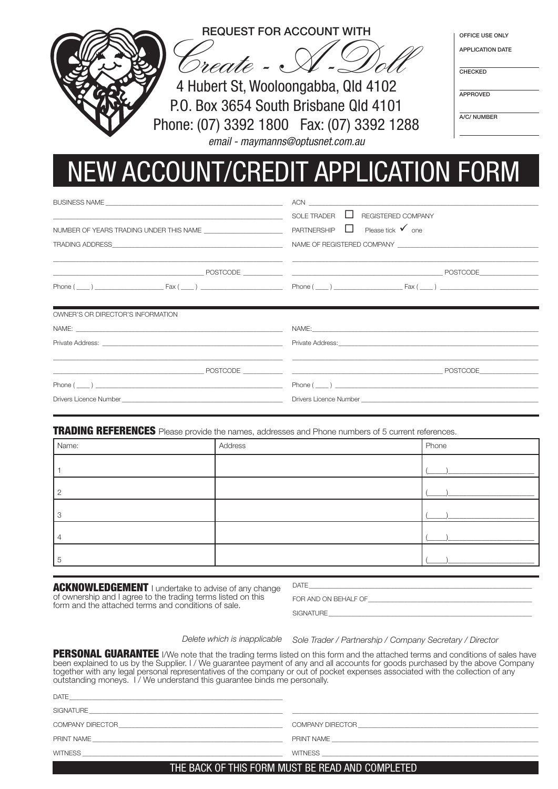

## NEW ACCOUNT/CREDIT APPLICATION FORM

|                                                                                                                      | $ACN$ $\qquad \qquad$                                                                                                                                                                                                                                                    |
|----------------------------------------------------------------------------------------------------------------------|--------------------------------------------------------------------------------------------------------------------------------------------------------------------------------------------------------------------------------------------------------------------------|
| <u> 1989 - Johann Barbara, martin amerikan basar dan berasal dalam basa dalam basar dalam basar dalam basar dala</u> | SOLE TRADER $\Box$ REGISTERED COMPANY                                                                                                                                                                                                                                    |
|                                                                                                                      | PARTNERSHIP $\Box$ Please tick $\checkmark$ one                                                                                                                                                                                                                          |
|                                                                                                                      |                                                                                                                                                                                                                                                                          |
|                                                                                                                      |                                                                                                                                                                                                                                                                          |
|                                                                                                                      |                                                                                                                                                                                                                                                                          |
|                                                                                                                      | $Phone(\_\_)$ $\_\_$ $\_\_$ $\_\_$ $\_\_$ $\_\_$ $\_\_$ $\_\_$ $\_\_$ $\_\_$ $\_\_$ $\_\_$ $\_\_$ $\_\_$ $\_\_$ $\_\_$ $\_\_$ $\_\_$ $\_\_$ $\_\_$ $\_\_$ $\_\_$ $\_\_$ $\_\_$ $\_\_$ $\_\_$ $\_\_$ $\_\_$ $\_\_$ $\_\_$ $\_\_$ $\_\_$ $\_\_$ $\_\_$ $\_\_$ $\_\_$ $\_\$ |
|                                                                                                                      |                                                                                                                                                                                                                                                                          |
| OWNER'S OR DIRECTOR'S INFORMATION                                                                                    |                                                                                                                                                                                                                                                                          |
|                                                                                                                      | NAME: NAME CONTRACTOR CONTRACTOR CONTRACTOR CONTRACTOR CONTRACTOR                                                                                                                                                                                                        |
|                                                                                                                      |                                                                                                                                                                                                                                                                          |
|                                                                                                                      |                                                                                                                                                                                                                                                                          |
|                                                                                                                      |                                                                                                                                                                                                                                                                          |
|                                                                                                                      |                                                                                                                                                                                                                                                                          |
| $Phone ( \_ )$                                                                                                       | $Phone(\_ )$                                                                                                                                                                                                                                                             |

**TRADING REFERENCES** Please provide the names, addresses and Phone numbers of 5 current references.

| Name: | Address | Phone |
|-------|---------|-------|
|       |         |       |
| റ     |         |       |
| 3     |         |       |
|       |         |       |
| 5     |         |       |

**ACKNOWLEDGEMENT** I undertake to advise of any change of ownership and I agree to the trading terms listed on this form and the attached terms and conditions of sale.

| $\lambda$<br>$\cup$ |  |  |  |
|---------------------|--|--|--|
|                     |  |  |  |
|                     |  |  |  |
|                     |  |  |  |

FOR AND ON BEHALF OF

SIGNATURE

*Delete which is inapplicable*

*Sole Trader / Partnership / Company Secretary / Director*

**PERSONAL GUARANTEE** I/We note that the trading terms listed on this form and the attached terms and conditions of sales have been explained to us by the Supplier. I / We guarantee payment of any and all accounts for goods purchased by the above Company together with any legal personal representatives of the company or out of pocket expenses associated with the collection of any outstanding moneys. I / We understand this guarantee binds me personally.

| <b>DATE</b>      |                  |
|------------------|------------------|
| SIGNATURE        |                  |
| COMPANY DIRECTOR | COMPANY DIRECTOR |
|                  |                  |
| PRINT NAME       | PRINT NAME       |
|                  |                  |
| <b>WITNESS</b>   | <b>WITNESS</b>   |
|                  |                  |

## THE BACK OF THIS FORM MUST BE READ AND COMPLETED